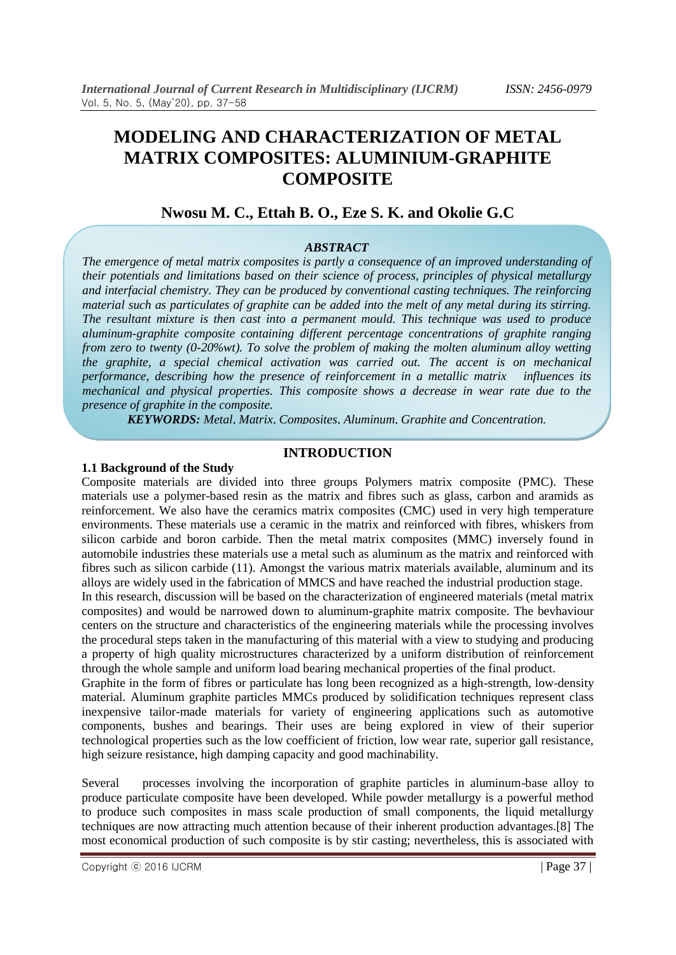# **MODELING AND CHARACTERIZATION OF METAL MATRIX COMPOSITES: ALUMINIUM-GRAPHITE COMPOSITE**

# **Nwosu M. C., Ettah B. O., Eze S. K. and Okolie G.C**

#### *ABSTRACT*

*The emergence of metal matrix composites is partly a consequence of an improved understanding of their potentials and limitations based on their science of process, principles of physical metallurgy and interfacial chemistry. They can be produced by conventional casting techniques. The reinforcing material such as particulates of graphite can be added into the melt of any metal during its stirring. The resultant mixture is then cast into a permanent mould. This technique was used to produce aluminum-graphite composite containing different percentage concentrations of graphite ranging from zero to twenty (0-20%wt). To solve the problem of making the molten aluminum alloy wetting the graphite, a special chemical activation was carried out. The accent is on mechanical performance, describing how the presence of reinforcement in a metallic matrix influences its mechanical and physical properties. This composite shows a decrease in wear rate due to the presence of graphite in the composite.*

*KEYWORDS: Metal, Matrix, Composites, Aluminum, Graphite and Concentration.*

#### **INTRODUCTION**

#### **1.1 Background of the Study**

Composite materials are divided into three groups Polymers matrix composite (PMC). These materials use a polymer-based resin as the matrix and fibres such as glass, carbon and aramids as reinforcement. We also have the ceramics matrix composites (CMC) used in very high temperature environments. These materials use a ceramic in the matrix and reinforced with fibres, whiskers from silicon carbide and boron carbide. Then the metal matrix composites (MMC) inversely found in automobile industries these materials use a metal such as aluminum as the matrix and reinforced with fibres such as silicon carbide (11). Amongst the various matrix materials available, aluminum and its alloys are widely used in the fabrication of MMCS and have reached the industrial production stage.

In this research, discussion will be based on the characterization of engineered materials (metal matrix composites) and would be narrowed down to aluminum-graphite matrix composite. The bevhaviour centers on the structure and characteristics of the engineering materials while the processing involves the procedural steps taken in the manufacturing of this material with a view to studying and producing a property of high quality microstructures characterized by a uniform distribution of reinforcement through the whole sample and uniform load bearing mechanical properties of the final product.

Graphite in the form of fibres or particulate has long been recognized as a high-strength, low-density material. Aluminum graphite particles MMCs produced by solidification techniques represent class inexpensive tailor-made materials for variety of engineering applications such as automotive components, bushes and bearings. Their uses are being explored in view of their superior technological properties such as the low coefficient of friction, low wear rate, superior gall resistance, high seizure resistance, high damping capacity and good machinability.

Several processes involving the incorporation of graphite particles in aluminum-base alloy to produce particulate composite have been developed. While powder metallurgy is a powerful method to produce such composites in mass scale production of small components, the liquid metallurgy techniques are now attracting much attention because of their inherent production advantages.[8] The most economical production of such composite is by stir casting; nevertheless, this is associated with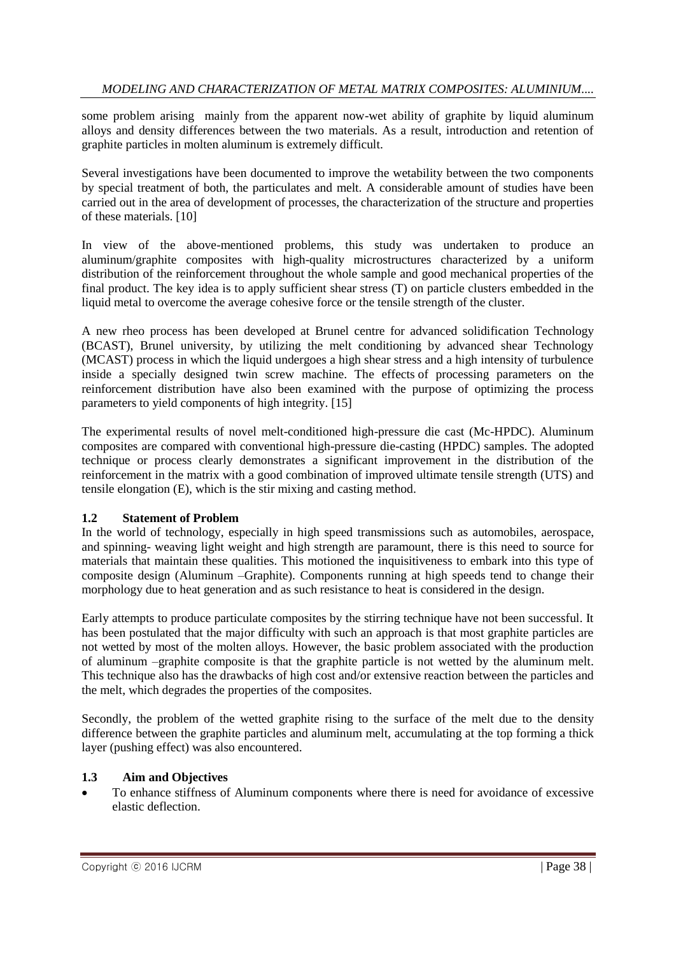some problem arising mainly from the apparent now-wet ability of graphite by liquid aluminum alloys and density differences between the two materials. As a result, introduction and retention of graphite particles in molten aluminum is extremely difficult.

Several investigations have been documented to improve the wetability between the two components by special treatment of both, the particulates and melt. A considerable amount of studies have been carried out in the area of development of processes, the characterization of the structure and properties of these materials. [10]

In view of the above-mentioned problems, this study was undertaken to produce an aluminum/graphite composites with high-quality microstructures characterized by a uniform distribution of the reinforcement throughout the whole sample and good mechanical properties of the final product. The key idea is to apply sufficient shear stress (T) on particle clusters embedded in the liquid metal to overcome the average cohesive force or the tensile strength of the cluster.

A new rheo process has been developed at Brunel centre for advanced solidification Technology (BCAST), Brunel university, by utilizing the melt conditioning by advanced shear Technology (MCAST) process in which the liquid undergoes a high shear stress and a high intensity of turbulence inside a specially designed twin screw machine. The effects of processing parameters on the reinforcement distribution have also been examined with the purpose of optimizing the process parameters to yield components of high integrity. [15]

The experimental results of novel melt-conditioned high-pressure die cast (Mc-HPDC). Aluminum composites are compared with conventional high-pressure die-casting (HPDC) samples. The adopted technique or process clearly demonstrates a significant improvement in the distribution of the reinforcement in the matrix with a good combination of improved ultimate tensile strength (UTS) and tensile elongation (E), which is the stir mixing and casting method.

# **1.2 Statement of Problem**

In the world of technology, especially in high speed transmissions such as automobiles, aerospace, and spinning- weaving light weight and high strength are paramount, there is this need to source for materials that maintain these qualities. This motioned the inquisitiveness to embark into this type of composite design (Aluminum –Graphite). Components running at high speeds tend to change their morphology due to heat generation and as such resistance to heat is considered in the design.

Early attempts to produce particulate composites by the stirring technique have not been successful. It has been postulated that the major difficulty with such an approach is that most graphite particles are not wetted by most of the molten alloys. However, the basic problem associated with the production of aluminum –graphite composite is that the graphite particle is not wetted by the aluminum melt. This technique also has the drawbacks of high cost and/or extensive reaction between the particles and the melt, which degrades the properties of the composites.

Secondly, the problem of the wetted graphite rising to the surface of the melt due to the density difference between the graphite particles and aluminum melt, accumulating at the top forming a thick layer (pushing effect) was also encountered.

### **1.3 Aim and Objectives**

 To enhance stiffness of Aluminum components where there is need for avoidance of excessive elastic deflection.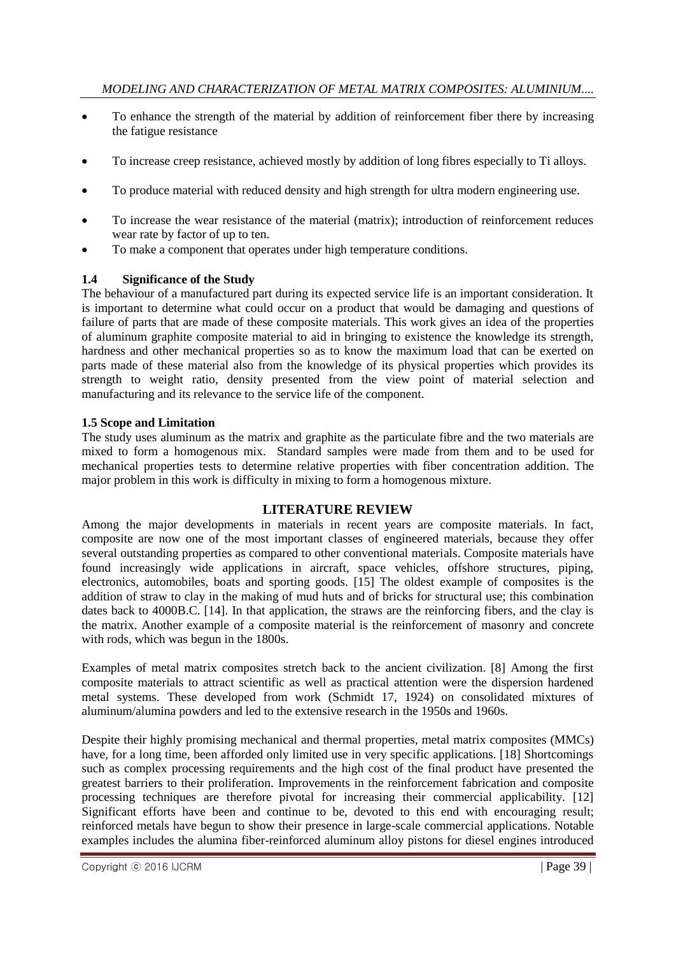- To enhance the strength of the material by addition of reinforcement fiber there by increasing the fatigue resistance
- To increase creep resistance, achieved mostly by addition of long fibres especially to Ti alloys.
- To produce material with reduced density and high strength for ultra modern engineering use.
- To increase the wear resistance of the material (matrix); introduction of reinforcement reduces wear rate by factor of up to ten.
- To make a component that operates under high temperature conditions.

## **1.4 Significance of the Study**

The behaviour of a manufactured part during its expected service life is an important consideration. It is important to determine what could occur on a product that would be damaging and questions of failure of parts that are made of these composite materials. This work gives an idea of the properties of aluminum graphite composite material to aid in bringing to existence the knowledge its strength, hardness and other mechanical properties so as to know the maximum load that can be exerted on parts made of these material also from the knowledge of its physical properties which provides its strength to weight ratio, density presented from the view point of material selection and manufacturing and its relevance to the service life of the component.

### **1.5 Scope and Limitation**

The study uses aluminum as the matrix and graphite as the particulate fibre and the two materials are mixed to form a homogenous mix. Standard samples were made from them and to be used for mechanical properties tests to determine relative properties with fiber concentration addition. The major problem in this work is difficulty in mixing to form a homogenous mixture.

# **LITERATURE REVIEW**

Among the major developments in materials in recent years are composite materials. In fact, composite are now one of the most important classes of engineered materials, because they offer several outstanding properties as compared to other conventional materials. Composite materials have found increasingly wide applications in aircraft, space vehicles, offshore structures, piping, electronics, automobiles, boats and sporting goods. [15] The oldest example of composites is the addition of straw to clay in the making of mud huts and of bricks for structural use; this combination dates back to 4000B.C. [14]. In that application, the straws are the reinforcing fibers, and the clay is the matrix. Another example of a composite material is the reinforcement of masonry and concrete with rods, which was begun in the 1800s.

Examples of metal matrix composites stretch back to the ancient civilization. [8] Among the first composite materials to attract scientific as well as practical attention were the dispersion hardened metal systems. These developed from work (Schmidt 17, 1924) on consolidated mixtures of aluminum/alumina powders and led to the extensive research in the 1950s and 1960s.

Despite their highly promising mechanical and thermal properties, metal matrix composites (MMCs) have, for a long time, been afforded only limited use in very specific applications. [18] Shortcomings such as complex processing requirements and the high cost of the final product have presented the greatest barriers to their proliferation. Improvements in the reinforcement fabrication and composite processing techniques are therefore pivotal for increasing their commercial applicability. [12] Significant efforts have been and continue to be, devoted to this end with encouraging result; reinforced metals have begun to show their presence in large-scale commercial applications. Notable examples includes the alumina fiber-reinforced aluminum alloy pistons for diesel engines introduced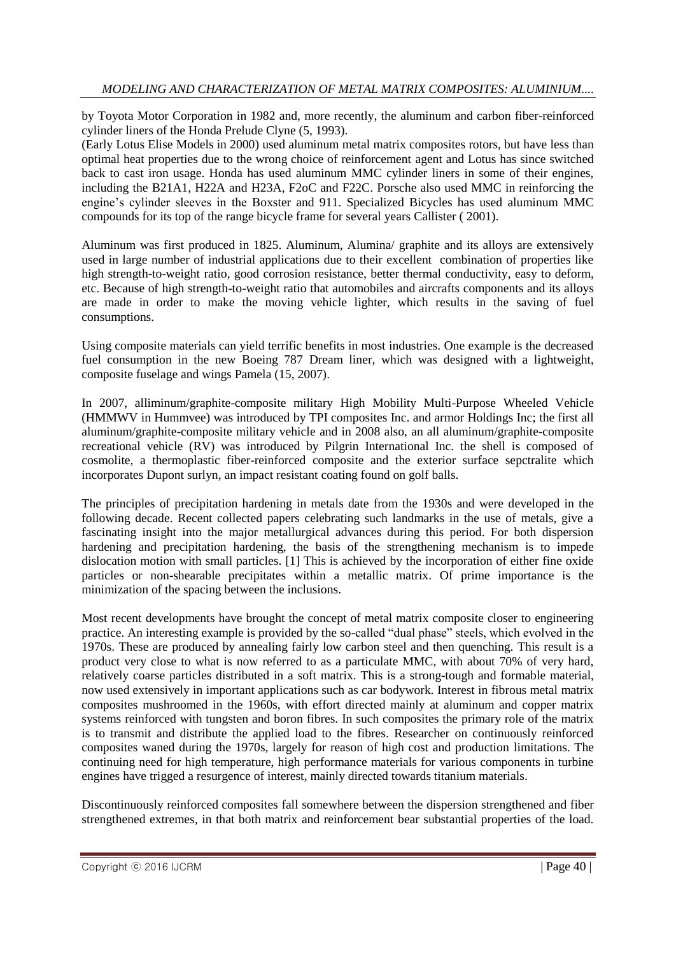by Toyota Motor Corporation in 1982 and, more recently, the aluminum and carbon fiber-reinforced cylinder liners of the Honda Prelude Clyne (5, 1993).

(Early Lotus Elise Models in 2000) used aluminum metal matrix composites rotors, but have less than optimal heat properties due to the wrong choice of reinforcement agent and Lotus has since switched back to cast iron usage. Honda has used aluminum MMC cylinder liners in some of their engines, including the B21A1, H22A and H23A, F2oC and F22C. Porsche also used MMC in reinforcing the engine's cylinder sleeves in the Boxster and 911. Specialized Bicycles has used aluminum MMC compounds for its top of the range bicycle frame for several years Callister ( 2001).

Aluminum was first produced in 1825. Aluminum, Alumina/ graphite and its alloys are extensively used in large number of industrial applications due to their excellent combination of properties like high strength-to-weight ratio, good corrosion resistance, better thermal conductivity, easy to deform, etc. Because of high strength-to-weight ratio that automobiles and aircrafts components and its alloys are made in order to make the moving vehicle lighter, which results in the saving of fuel consumptions.

Using composite materials can yield terrific benefits in most industries. One example is the decreased fuel consumption in the new Boeing 787 Dream liner, which was designed with a lightweight, composite fuselage and wings Pamela (15, 2007).

In 2007, alliminum/graphite-composite military High Mobility Multi-Purpose Wheeled Vehicle (HMMWV in Hummvee) was introduced by TPI composites Inc. and armor Holdings Inc; the first all aluminum/graphite-composite military vehicle and in 2008 also, an all aluminum/graphite-composite recreational vehicle (RV) was introduced by Pilgrin International Inc. the shell is composed of cosmolite, a thermoplastic fiber-reinforced composite and the exterior surface sepctralite which incorporates Dupont surlyn, an impact resistant coating found on golf balls.

The principles of precipitation hardening in metals date from the 1930s and were developed in the following decade. Recent collected papers celebrating such landmarks in the use of metals, give a fascinating insight into the major metallurgical advances during this period. For both dispersion hardening and precipitation hardening, the basis of the strengthening mechanism is to impede dislocation motion with small particles. [1] This is achieved by the incorporation of either fine oxide particles or non-shearable precipitates within a metallic matrix. Of prime importance is the minimization of the spacing between the inclusions.

Most recent developments have brought the concept of metal matrix composite closer to engineering practice. An interesting example is provided by the so-called "dual phase" steels, which evolved in the 1970s. These are produced by annealing fairly low carbon steel and then quenching. This result is a product very close to what is now referred to as a particulate MMC, with about 70% of very hard, relatively coarse particles distributed in a soft matrix. This is a strong-tough and formable material, now used extensively in important applications such as car bodywork. Interest in fibrous metal matrix composites mushroomed in the 1960s, with effort directed mainly at aluminum and copper matrix systems reinforced with tungsten and boron fibres. In such composites the primary role of the matrix is to transmit and distribute the applied load to the fibres. Researcher on continuously reinforced composites waned during the 1970s, largely for reason of high cost and production limitations. The continuing need for high temperature, high performance materials for various components in turbine engines have trigged a resurgence of interest, mainly directed towards titanium materials.

Discontinuously reinforced composites fall somewhere between the dispersion strengthened and fiber strengthened extremes, in that both matrix and reinforcement bear substantial properties of the load.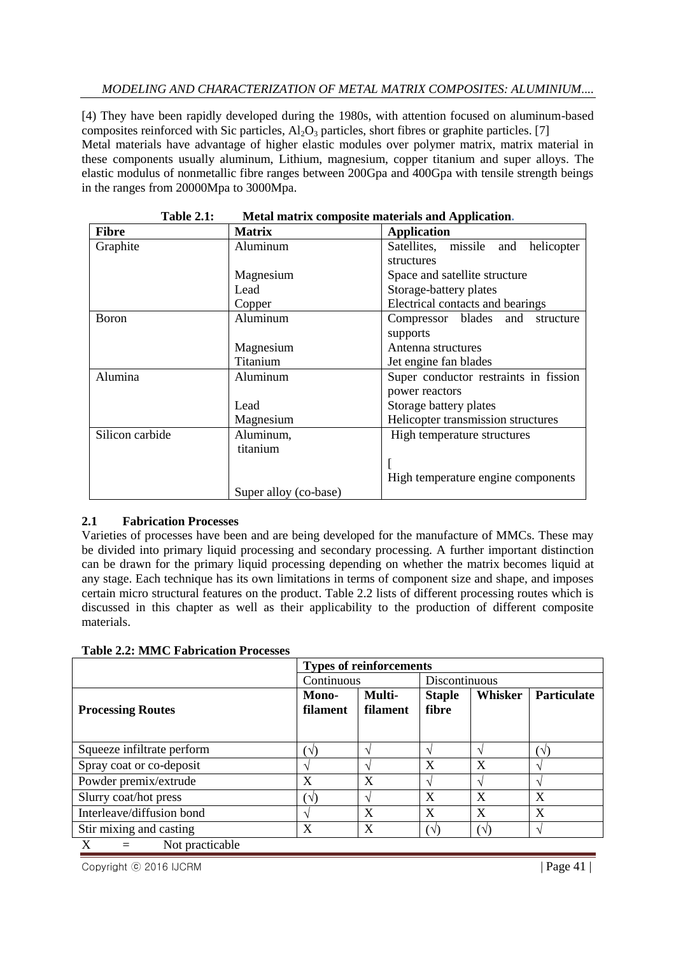## *MODELING AND CHARACTERIZATION OF METAL MATRIX COMPOSITES: ALUMINIUM....*

[4) They have been rapidly developed during the 1980s, with attention focused on aluminum-based composites reinforced with Sic particles,  $Al_2O_3$  particles, short fibres or graphite particles. [7] Metal materials have advantage of higher elastic modules over polymer matrix, matrix material in these components usually aluminum, Lithium, magnesium, copper titanium and super alloys. The elastic modulus of nonmetallic fibre ranges between 200Gpa and 400Gpa with tensile strength beings in the ranges from 20000Mpa to 3000Mpa.

| <b>Fibre</b>    | <b>Matrix</b>         | <b>Application</b>                    |
|-----------------|-----------------------|---------------------------------------|
|                 |                       |                                       |
| Graphite        | Aluminum              | Satellites, missile and helicopter    |
|                 |                       | structures                            |
|                 | Magnesium             | Space and satellite structure         |
|                 | Lead                  | Storage-battery plates                |
|                 | Copper                | Electrical contacts and bearings      |
| <b>Boron</b>    | Aluminum              | Compressor blades and structure       |
|                 |                       | supports                              |
|                 | Magnesium             | Antenna structures                    |
|                 | Titanium              | Jet engine fan blades                 |
| Alumina         | Aluminum              | Super conductor restraints in fission |
|                 |                       | power reactors                        |
|                 | Lead                  | Storage battery plates                |
|                 | Magnesium             | Helicopter transmission structures    |
| Silicon carbide | Aluminum,             | High temperature structures           |
|                 | titanium              |                                       |
|                 |                       |                                       |
|                 |                       | High temperature engine components    |
|                 | Super alloy (co-base) |                                       |

**Table 2.1: Metal matrix composite materials and Application.**

# **2.1 Fabrication Processes**

Varieties of processes have been and are being developed for the manufacture of MMCs. These may be divided into primary liquid processing and secondary processing. A further important distinction can be drawn for the primary liquid processing depending on whether the matrix becomes liquid at any stage. Each technique has its own limitations in terms of component size and shape, and imposes certain micro structural features on the product. Table 2.2 lists of different processing routes which is discussed in this chapter as well as their applicability to the production of different composite materials.

|                            | <b>Types of reinforcements</b> |                    |                        |              |                    |  |  |
|----------------------------|--------------------------------|--------------------|------------------------|--------------|--------------------|--|--|
|                            | Continuous                     |                    | Discontinuous          |              |                    |  |  |
| <b>Processing Routes</b>   | Mono-<br><b>filament</b>       | Multi-<br>filament | <b>Staple</b><br>fibre | Whisker      | <b>Particulate</b> |  |  |
| Squeeze infiltrate perform | ั√                             |                    | ٦                      |              | ′√,                |  |  |
| Spray coat or co-deposit   |                                |                    | X                      | X            |                    |  |  |
| Powder premix/extrude      | X                              | X                  | $\mathcal{L}$          |              |                    |  |  |
| Slurry coat/hot press      | ัป)                            |                    | X                      | X            | X                  |  |  |
| Interleave/diffusion bond  |                                | X                  | X                      | X            | X                  |  |  |
| Stir mixing and casting    | X                              | X                  | $(\sqrt{2})$           | $(\sqrt{2})$ |                    |  |  |
| Not practicable            |                                |                    |                        |              |                    |  |  |

Copyright © 2016 IJCRM | Page 41 |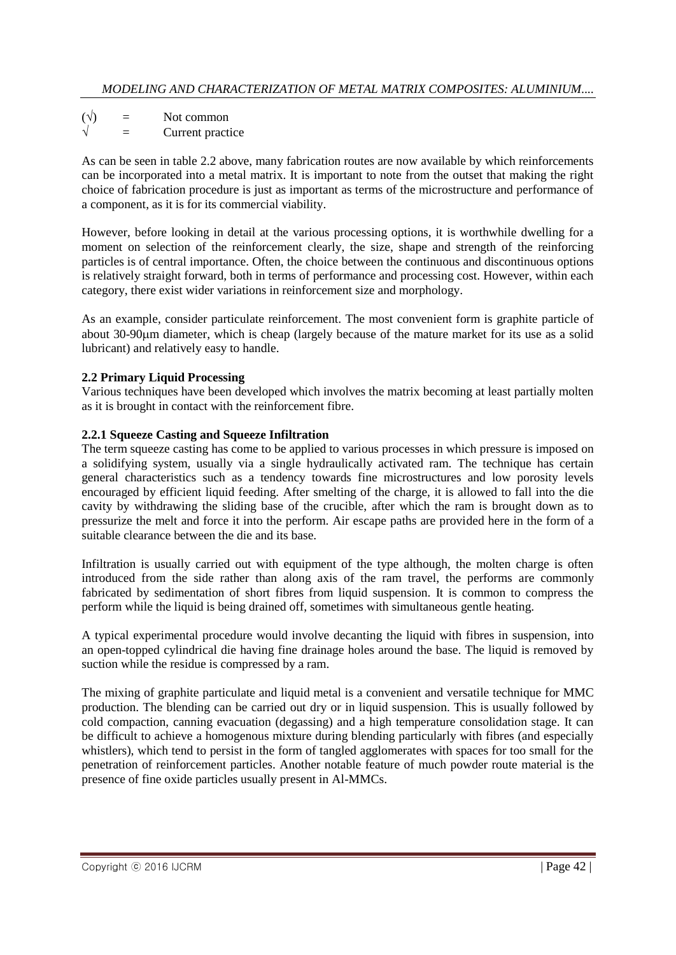$(\sqrt{})$  = Not common = Current practice

As can be seen in table 2.2 above, many fabrication routes are now available by which reinforcements can be incorporated into a metal matrix. It is important to note from the outset that making the right choice of fabrication procedure is just as important as terms of the microstructure and performance of a component, as it is for its commercial viability.

However, before looking in detail at the various processing options, it is worthwhile dwelling for a moment on selection of the reinforcement clearly, the size, shape and strength of the reinforcing particles is of central importance. Often, the choice between the continuous and discontinuous options is relatively straight forward, both in terms of performance and processing cost. However, within each category, there exist wider variations in reinforcement size and morphology.

As an example, consider particulate reinforcement. The most convenient form is graphite particle of about 30-90m diameter, which is cheap (largely because of the mature market for its use as a solid lubricant) and relatively easy to handle.

# **2.2 Primary Liquid Processing**

Various techniques have been developed which involves the matrix becoming at least partially molten as it is brought in contact with the reinforcement fibre.

### **2.2.1 Squeeze Casting and Squeeze Infiltration**

The term squeeze casting has come to be applied to various processes in which pressure is imposed on a solidifying system, usually via a single hydraulically activated ram. The technique has certain general characteristics such as a tendency towards fine microstructures and low porosity levels encouraged by efficient liquid feeding. After smelting of the charge, it is allowed to fall into the die cavity by withdrawing the sliding base of the crucible, after which the ram is brought down as to pressurize the melt and force it into the perform. Air escape paths are provided here in the form of a suitable clearance between the die and its base.

Infiltration is usually carried out with equipment of the type although, the molten charge is often introduced from the side rather than along axis of the ram travel, the performs are commonly fabricated by sedimentation of short fibres from liquid suspension. It is common to compress the perform while the liquid is being drained off, sometimes with simultaneous gentle heating.

A typical experimental procedure would involve decanting the liquid with fibres in suspension, into an open-topped cylindrical die having fine drainage holes around the base. The liquid is removed by suction while the residue is compressed by a ram.

The mixing of graphite particulate and liquid metal is a convenient and versatile technique for MMC production. The blending can be carried out dry or in liquid suspension. This is usually followed by cold compaction, canning evacuation (degassing) and a high temperature consolidation stage. It can be difficult to achieve a homogenous mixture during blending particularly with fibres (and especially whistlers), which tend to persist in the form of tangled agglomerates with spaces for too small for the penetration of reinforcement particles. Another notable feature of much powder route material is the presence of fine oxide particles usually present in Al-MMCs.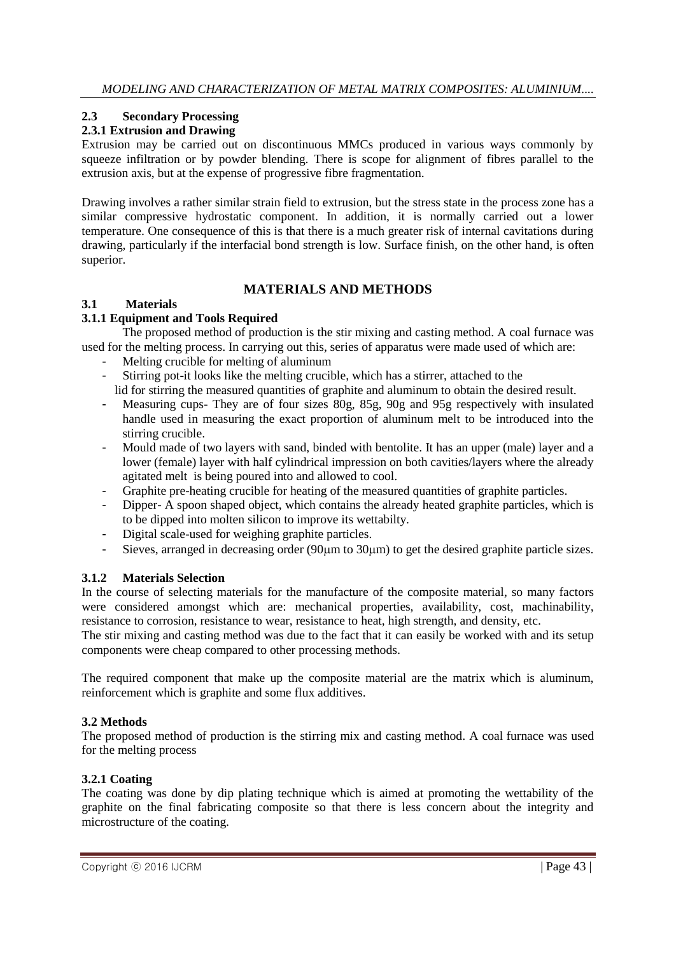## **2.3 Secondary Processing**

## **2.3.1 Extrusion and Drawing**

Extrusion may be carried out on discontinuous MMCs produced in various ways commonly by squeeze infiltration or by powder blending. There is scope for alignment of fibres parallel to the extrusion axis, but at the expense of progressive fibre fragmentation.

Drawing involves a rather similar strain field to extrusion, but the stress state in the process zone has a similar compressive hydrostatic component. In addition, it is normally carried out a lower temperature. One consequence of this is that there is a much greater risk of internal cavitations during drawing, particularly if the interfacial bond strength is low. Surface finish, on the other hand, is often superior.

## **MATERIALS AND METHODS**

### **3.1 Materials**

## **3.1.1 Equipment and Tools Required**

The proposed method of production is the stir mixing and casting method. A coal furnace was used for the melting process. In carrying out this, series of apparatus were made used of which are:

- Melting crucible for melting of aluminum
- Stirring pot-it looks like the melting crucible, which has a stirrer, attached to the lid for stirring the measured quantities of graphite and aluminum to obtain the desired result.
- Measuring cups- They are of four sizes 80g, 85g, 90g and 95g respectively with insulated handle used in measuring the exact proportion of aluminum melt to be introduced into the stirring crucible.
- Mould made of two layers with sand, binded with bentolite. It has an upper (male) layer and a lower (female) layer with half cylindrical impression on both cavities/layers where the already agitated melt is being poured into and allowed to cool.
- Graphite pre-heating crucible for heating of the measured quantities of graphite particles.
- Dipper- A spoon shaped object, which contains the already heated graphite particles, which is to be dipped into molten silicon to improve its wettabilty.
- Digital scale-used for weighing graphite particles.
- Sieves, arranged in decreasing order (90 $\mu$ m to 30 $\mu$ m) to get the desired graphite particle sizes.

### **3.1.2 Materials Selection**

In the course of selecting materials for the manufacture of the composite material, so many factors were considered amongst which are: mechanical properties, availability, cost, machinability, resistance to corrosion, resistance to wear, resistance to heat, high strength, and density, etc.

The stir mixing and casting method was due to the fact that it can easily be worked with and its setup components were cheap compared to other processing methods.

The required component that make up the composite material are the matrix which is aluminum, reinforcement which is graphite and some flux additives.

### **3.2 Methods**

The proposed method of production is the stirring mix and casting method. A coal furnace was used for the melting process

### **3.2.1 Coating**

The coating was done by dip plating technique which is aimed at promoting the wettability of the graphite on the final fabricating composite so that there is less concern about the integrity and microstructure of the coating.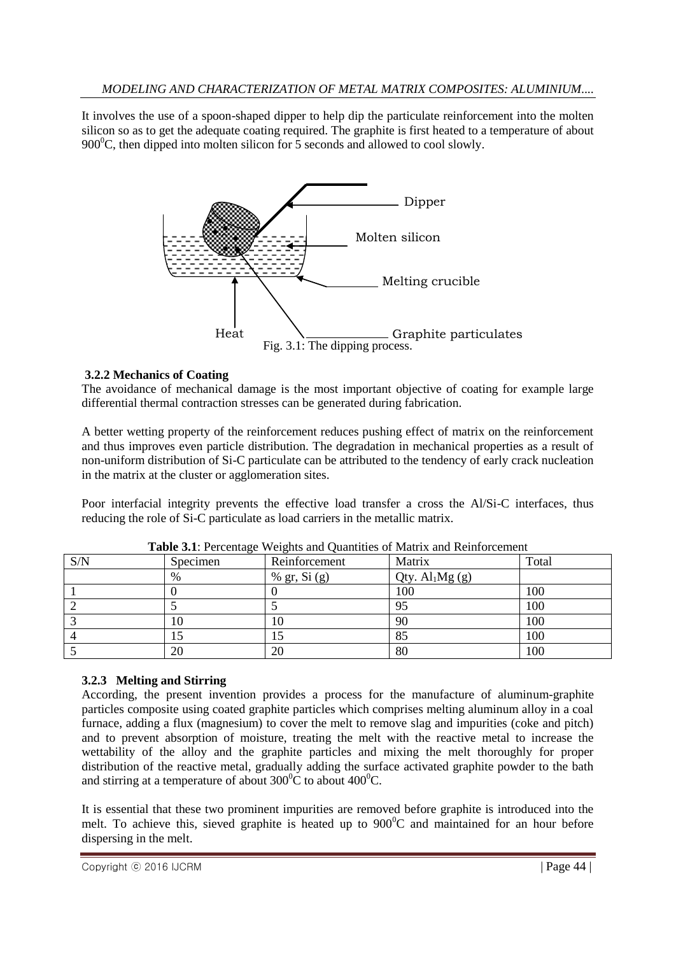It involves the use of a spoon-shaped dipper to help dip the particulate reinforcement into the molten silicon so as to get the adequate coating required. The graphite is first heated to a temperature of about 900 $^{\circ}$ C, then dipped into molten silicon for 5 seconds and allowed to cool slowly.



### **3.2.2 Mechanics of Coating**

The avoidance of mechanical damage is the most important objective of coating for example large differential thermal contraction stresses can be generated during fabrication.

A better wetting property of the reinforcement reduces pushing effect of matrix on the reinforcement and thus improves even particle distribution. The degradation in mechanical properties as a result of non-uniform distribution of Si-C particulate can be attributed to the tendency of early crack nucleation in the matrix at the cluster or agglomeration sites.

Poor interfacial integrity prevents the effective load transfer a cross the Al/Si-C interfaces, thus reducing the role of Si-C particulate as load carriers in the metallic matrix.

| S/N | $\tilde{}$<br>Specimen | Reinforcement  | Matrix          | Total |
|-----|------------------------|----------------|-----------------|-------|
|     | $\%$                   | % gr, $Si$ (g) | Qty. $Al1Mg(g)$ |       |
|     |                        |                | 100             | 100   |
|     |                        |                | 95              | 100   |
|     | 10                     | 10             | 90              | 100   |
|     | IJ                     |                | 85              | 100   |
|     | 20                     | 20             | 80              | 100   |

|  | Table 3.1: Percentage Weights and Quantities of Matrix and Reinforcement |
|--|--------------------------------------------------------------------------|
|--|--------------------------------------------------------------------------|

### **3.2.3 Melting and Stirring**

According, the present invention provides a process for the manufacture of aluminum-graphite particles composite using coated graphite particles which comprises melting aluminum alloy in a coal furnace, adding a flux (magnesium) to cover the melt to remove slag and impurities (coke and pitch) and to prevent absorption of moisture, treating the melt with the reactive metal to increase the wettability of the alloy and the graphite particles and mixing the melt thoroughly for proper distribution of the reactive metal, gradually adding the surface activated graphite powder to the bath and stirring at a temperature of about  $300^{\circ}$ C to about  $400^{\circ}$ C.

It is essential that these two prominent impurities are removed before graphite is introduced into the melt. To achieve this, sieved graphite is heated up to  $900^{\circ}$ C and maintained for an hour before dispersing in the melt.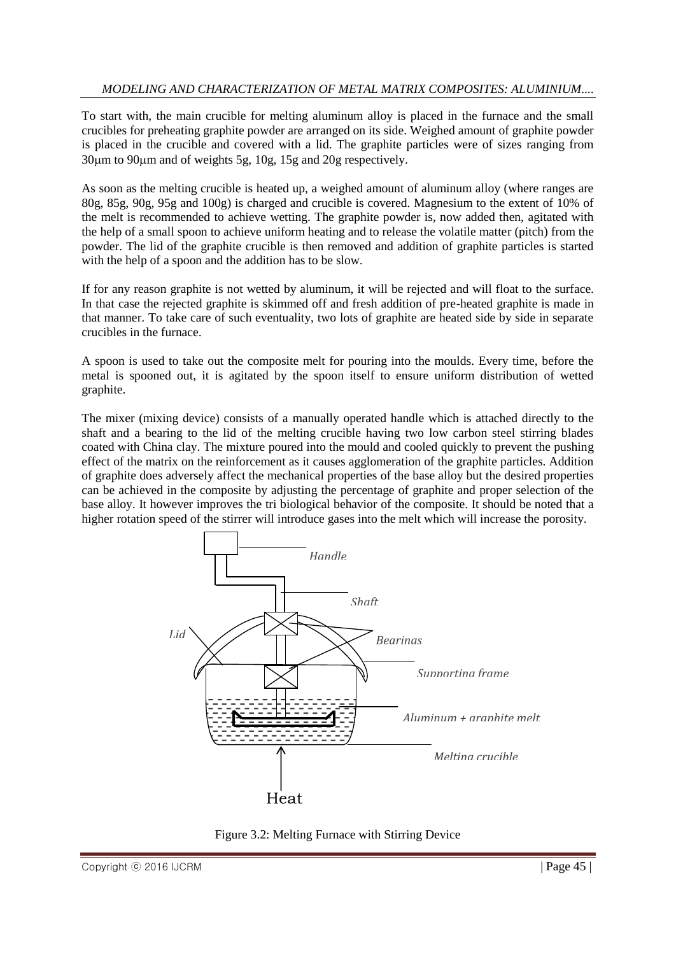### *MODELING AND CHARACTERIZATION OF METAL MATRIX COMPOSITES: ALUMINIUM....*

To start with, the main crucible for melting aluminum alloy is placed in the furnace and the small crucibles for preheating graphite powder are arranged on its side. Weighed amount of graphite powder is placed in the crucible and covered with a lid. The graphite particles were of sizes ranging from 30m to 90m and of weights 5g, 10g, 15g and 20g respectively.

As soon as the melting crucible is heated up, a weighed amount of aluminum alloy (where ranges are 80g, 85g, 90g, 95g and 100g) is charged and crucible is covered. Magnesium to the extent of 10% of the melt is recommended to achieve wetting. The graphite powder is, now added then, agitated with the help of a small spoon to achieve uniform heating and to release the volatile matter (pitch) from the powder. The lid of the graphite crucible is then removed and addition of graphite particles is started with the help of a spoon and the addition has to be slow.

If for any reason graphite is not wetted by aluminum, it will be rejected and will float to the surface. In that case the rejected graphite is skimmed off and fresh addition of pre-heated graphite is made in that manner. To take care of such eventuality, two lots of graphite are heated side by side in separate crucibles in the furnace.

A spoon is used to take out the composite melt for pouring into the moulds. Every time, before the metal is spooned out, it is agitated by the spoon itself to ensure uniform distribution of wetted graphite.

The mixer (mixing device) consists of a manually operated handle which is attached directly to the shaft and a bearing to the lid of the melting crucible having two low carbon steel stirring blades coated with China clay. The mixture poured into the mould and cooled quickly to prevent the pushing effect of the matrix on the reinforcement as it causes agglomeration of the graphite particles. Addition of graphite does adversely affect the mechanical properties of the base alloy but the desired properties can be achieved in the composite by adjusting the percentage of graphite and proper selection of the base alloy. It however improves the tri biological behavior of the composite. It should be noted that a higher rotation speed of the stirrer will introduce gases into the melt which will increase the porosity.



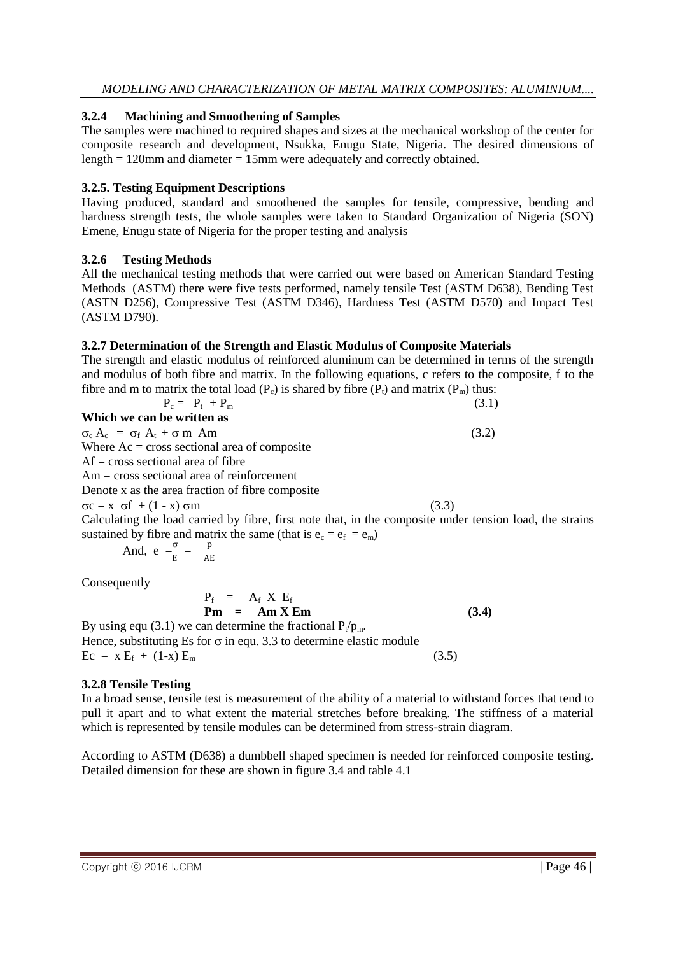#### **3.2.4 Machining and Smoothening of Samples**

The samples were machined to required shapes and sizes at the mechanical workshop of the center for composite research and development, Nsukka, Enugu State, Nigeria. The desired dimensions of length  $= 120$ mm and diameter  $= 15$ mm were adequately and correctly obtained.

### **3.2.5. Testing Equipment Descriptions**

Having produced, standard and smoothened the samples for tensile, compressive, bending and hardness strength tests, the whole samples were taken to Standard Organization of Nigeria (SON) Emene, Enugu state of Nigeria for the proper testing and analysis

#### **3.2.6 Testing Methods**

All the mechanical testing methods that were carried out were based on American Standard Testing Methods (ASTM) there were five tests performed, namely tensile Test (ASTM D638), Bending Test (ASTN D256), Compressive Test (ASTM D346), Hardness Test (ASTM D570) and Impact Test (ASTM D790).

### **3.2.7 Determination of the Strength and Elastic Modulus of Composite Materials**

The strength and elastic modulus of reinforced aluminum can be determined in terms of the strength and modulus of both fibre and matrix. In the following equations, c refers to the composite, f to the fibre and m to matrix the total load  $(P<sub>c</sub>)$  is shared by fibre  $(P<sub>t</sub>)$  and matrix  $(P<sub>m</sub>)$  thus:

| $P_c = P_t + P_m$                                                                                        | (3.1) |
|----------------------------------------------------------------------------------------------------------|-------|
| Which we can be written as                                                                               |       |
| $\sigma_{\rm c}$ A <sub>c</sub> = $\sigma_{\rm f}$ A <sub>t</sub> + $\sigma$ m Am                        | (3.2) |
| Where $Ac = cross$ sectional area of composite                                                           |       |
| $Af = cross sectional area of fibre$                                                                     |       |
| $Am = cross sectional area of reinforcement$                                                             |       |
| Denote x as the area fraction of fibre composite                                                         |       |
| $\sigma c = x \sigma f + (1 - x) \sigma m$                                                               | (3.3) |
| Calculating the load carried by fibre, first note that, in the composite under tension load, the strains |       |
| sustained by fibre and matrix the same (that is $e_c = e_f = e_m$ )                                      |       |
| And, $e = \frac{\sigma}{E} = \frac{p}{AE}$                                                               |       |

**Consequently** 

 $P_f$  =  $A_f$  X  $E_f$ **Pm = Am X Em (3.4)**

By using equ (3.1) we can determine the fractional  $P_t/p_m$ . Hence, substituting Es for  $\sigma$  in equ. 3.3 to determine elastic module  $\text{Ec} = \text{x} \text{ E}_{\text{f}} + (1-\text{x}) \text{ E}_{\text{m}}$  (3.5)

### **3.2.8 Tensile Testing**

In a broad sense, tensile test is measurement of the ability of a material to withstand forces that tend to pull it apart and to what extent the material stretches before breaking. The stiffness of a material which is represented by tensile modules can be determined from stress-strain diagram.

According to ASTM (D638) a dumbbell shaped specimen is needed for reinforced composite testing. Detailed dimension for these are shown in figure 3.4 and table 4.1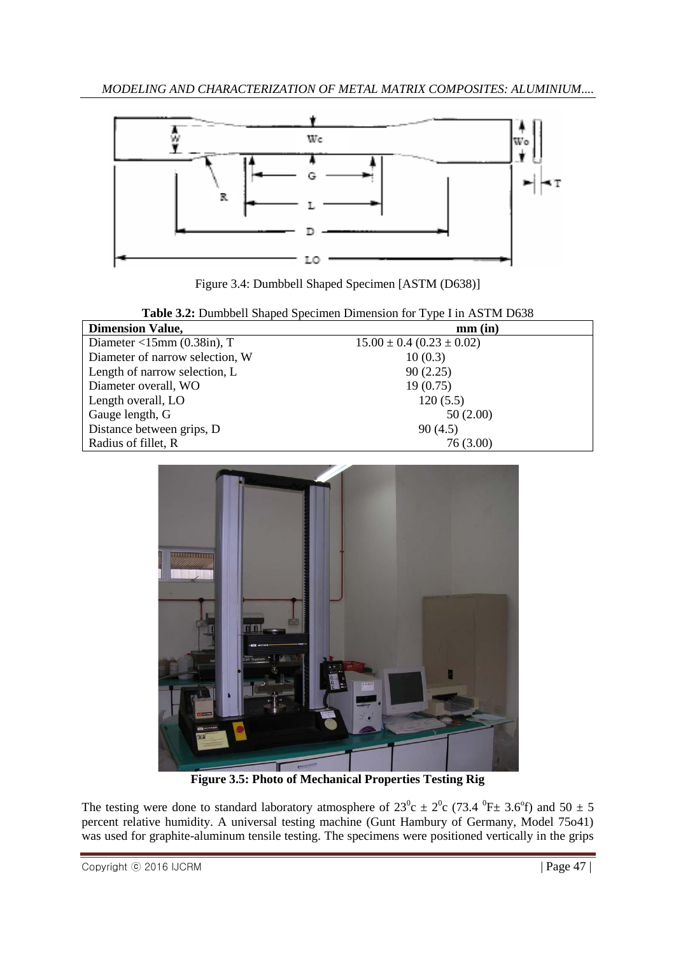

Figure 3.4: Dumbbell Shaped Specimen [ASTM (D638)]

| Table 3.2: Dumbbell Shaped Specimen Dimension for Type I in ASTM D638 |  |  |  |  |
|-----------------------------------------------------------------------|--|--|--|--|

| <b>Dimension Value,</b>             | $mm$ $(in)$                       |
|-------------------------------------|-----------------------------------|
| Diameter $\langle$ 15mm (0.38in), T | $15.00 \pm 0.4$ (0.23 $\pm$ 0.02) |
| Diameter of narrow selection, W     | 10(0.3)                           |
| Length of narrow selection, L       | 90(2.25)                          |
| Diameter overall, WO                | 19(0.75)                          |
| Length overall, LO                  | 120(5.5)                          |
| Gauge length, G                     | 50(2.00)                          |
| Distance between grips, D           | 90(4.5)                           |
| Radius of fillet, R                 | 76 (3.00)                         |



**Figure 3.5: Photo of Mechanical Properties Testing Rig**

The testing were done to standard laboratory atmosphere of  $23^{\circ}c \pm 2^{\circ}c$  (73.4  $^{\circ}F \pm$  3.6 $^{\circ}f$ ) and 50  $\pm$  5 percent relative humidity. A universal testing machine (Gunt Hambury of Germany, Model 75o41) was used for graphite-aluminum tensile testing. The specimens were positioned vertically in the grips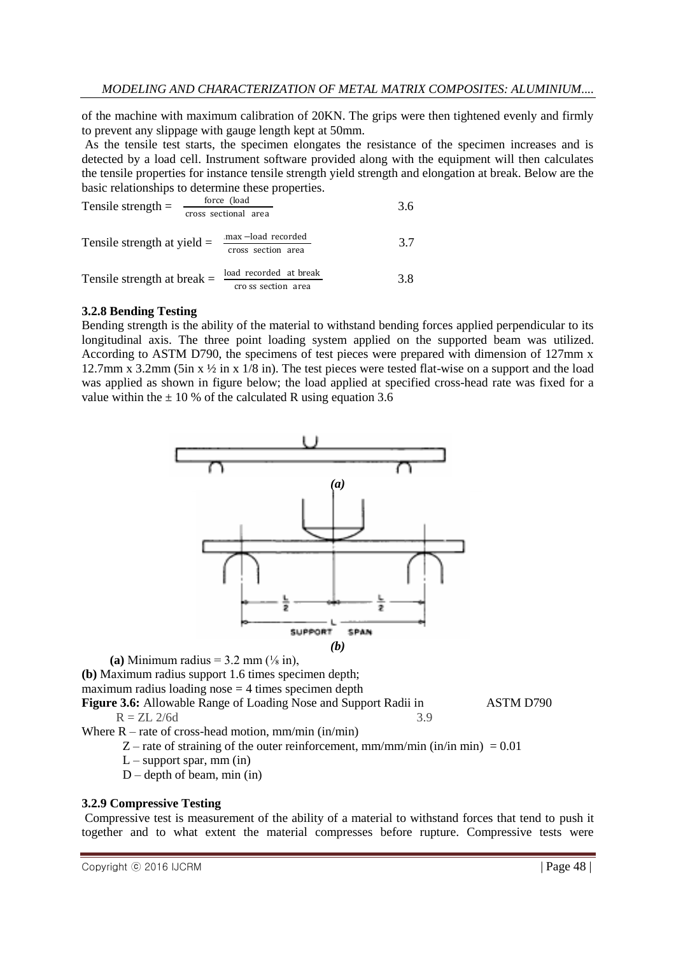of the machine with maximum calibration of 20KN. The grips were then tightened evenly and firmly to prevent any slippage with gauge length kept at 50mm.

As the tensile test starts, the specimen elongates the resistance of the specimen increases and is detected by a load cell. Instrument software provided along with the equipment will then calculates the tensile properties for instance tensile strength yield strength and elongation at break. Below are the basic relationships to determine these properties.

| Tensile strength $=$          | force (load<br>cross sectional area           | 3.6 |
|-------------------------------|-----------------------------------------------|-----|
| Tensile strength at yield $=$ | .max-load recorded<br>cross section area      | 3.7 |
| Tensile strength at break $=$ | load recorded at break<br>cro ss section area | 3.8 |

#### **3.2.8 Bending Testing**

Bending strength is the ability of the material to withstand bending forces applied perpendicular to its longitudinal axis. The three point loading system applied on the supported beam was utilized. According to ASTM D790, the specimens of test pieces were prepared with dimension of 127mm x 12.7mm x 3.2mm (5in x  $\frac{1}{2}$  in x  $\frac{1}{8}$  in). The test pieces were tested flat-wise on a support and the load was applied as shown in figure below; the load applied at specified cross-head rate was fixed for a value within the  $\pm$  10 % of the calculated R using equation 3.6



**(a)** Minimum radius =  $3.2$  mm  $\left(\frac{1}{8} \text{ in}\right)$ ,

**(b)** Maximum radius support 1.6 times specimen depth;

maximum radius loading nose  $= 4$  times specimen depth

**Figure 3.6:** Allowable Range of Loading Nose and Support Radii in ASTM D790  $R = ZL \frac{2}{6d}$  3.9

Where  $R$  – rate of cross-head motion, mm/min (in/min)

- Z rate of straining of the outer reinforcement, mm/mm/min (in/in min) =  $0.01$
- $L$  support spar, mm (in)
- $D$  depth of beam, min (in)

### **3.2.9 Compressive Testing**

Compressive test is measurement of the ability of a material to withstand forces that tend to push it together and to what extent the material compresses before rupture. Compressive tests were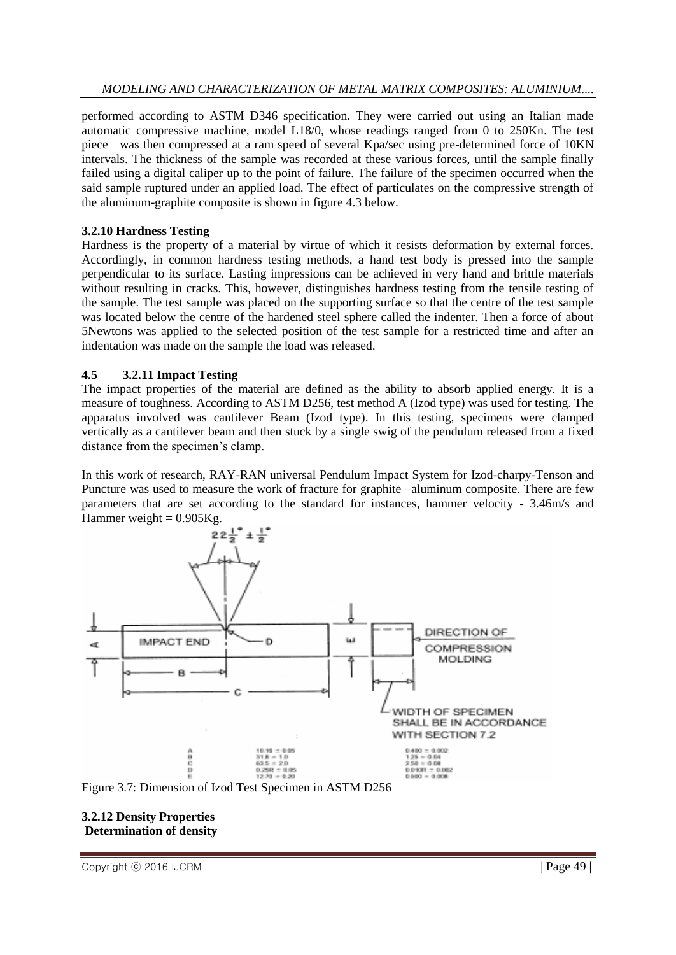performed according to ASTM D346 specification. They were carried out using an Italian made automatic compressive machine, model L18/0, whose readings ranged from 0 to 250Kn. The test piece was then compressed at a ram speed of several Kpa/sec using pre-determined force of 10KN intervals. The thickness of the sample was recorded at these various forces, until the sample finally failed using a digital caliper up to the point of failure. The failure of the specimen occurred when the said sample ruptured under an applied load. The effect of particulates on the compressive strength of the aluminum-graphite composite is shown in figure 4.3 below.

#### **3.2.10 Hardness Testing**

Hardness is the property of a material by virtue of which it resists deformation by external forces. Accordingly, in common hardness testing methods, a hand test body is pressed into the sample perpendicular to its surface. Lasting impressions can be achieved in very hand and brittle materials without resulting in cracks. This, however, distinguishes hardness testing from the tensile testing of the sample. The test sample was placed on the supporting surface so that the centre of the test sample was located below the centre of the hardened steel sphere called the indenter. Then a force of about 5Newtons was applied to the selected position of the test sample for a restricted time and after an indentation was made on the sample the load was released.

### **4.5 3.2.11 Impact Testing**

The impact properties of the material are defined as the ability to absorb applied energy. It is a measure of toughness. According to ASTM D256, test method A (Izod type) was used for testing. The apparatus involved was cantilever Beam (Izod type). In this testing, specimens were clamped vertically as a cantilever beam and then stuck by a single swig of the pendulum released from a fixed distance from the specimen's clamp.

In this work of research, RAY-RAN universal Pendulum Impact System for Izod-charpy-Tenson and Puncture was used to measure the work of fracture for graphite –aluminum composite. There are few parameters that are set according to the standard for instances, hammer velocity - 3.46m/s and Hammer weight  $= 0.905$ Kg.





#### **3.2.12 Density Properties Determination of density**

Copyright © 2016 IJCRM | Page 49 |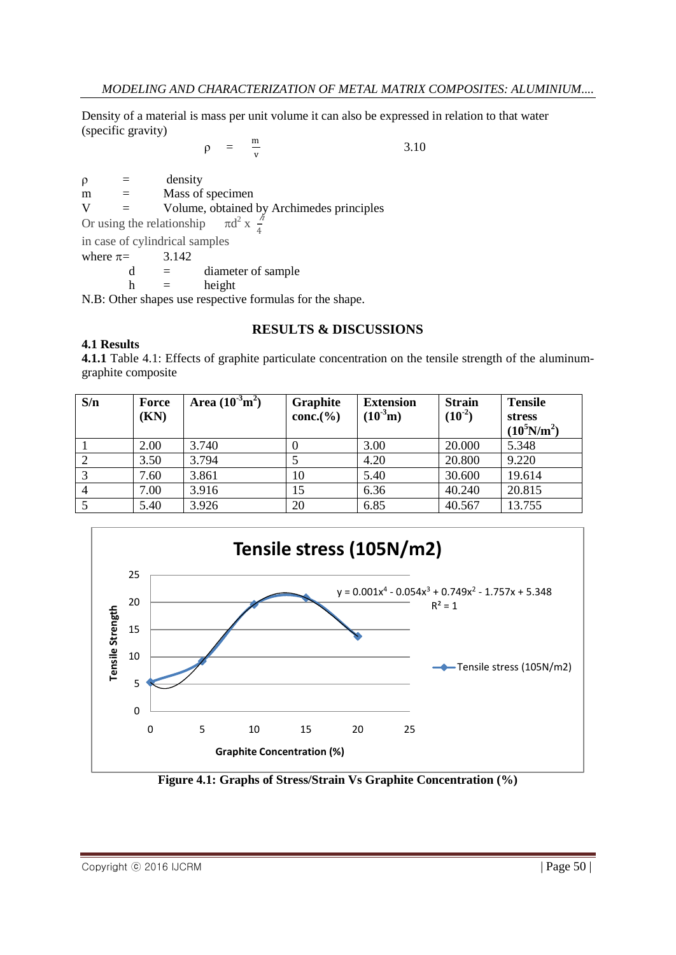Density of a material is mass per unit volume it can also be expressed in relation to that water (specific gravity)

$$
\rho = \frac{m}{v} \tag{3.10}
$$

 $\rho =$  density  $m =$  Mass of specimen  $V =$  Volume, obtained by Archimedes principles Or using the relationship  $2 \times \frac{\hbar}{4}$  $\frac{7}{4}$ in case of cylindrical samples where  $\pi =$  3.142

 $d =$  diameter of sample

 $h =$  height

N.B: Other shapes use respective formulas for the shape.

### **RESULTS & DISCUSSIONS**

#### **4.1 Results**

**4.1.1** Table 4.1: Effects of graphite particulate concentration on the tensile strength of the aluminumgraphite composite

| S/n            | <b>Force</b><br>(KN) | Area $(10^{-3}m^2)$ | Graphite<br>conc.(% | <b>Extension</b><br>$(10^{-3}m)$ | <b>Strain</b><br>$(10^{-2})$ | <b>Tensile</b><br>stress<br>$(10^5 N/m^2)$ |
|----------------|----------------------|---------------------|---------------------|----------------------------------|------------------------------|--------------------------------------------|
|                | 2.00                 | 3.740               |                     | 3.00                             | 20.000                       | 5.348                                      |
| $\overline{2}$ | 3.50                 | 3.794               |                     | 4.20                             | 20.800                       | 9.220                                      |
| 3              | 7.60                 | 3.861               | 10                  | 5.40                             | 30.600                       | 19.614                                     |
| $\overline{4}$ | 7.00                 | 3.916               | 15                  | 6.36                             | 40.240                       | 20.815                                     |
|                | 5.40                 | 3.926               | 20                  | 6.85                             | 40.567                       | 13.755                                     |



**Figure 4.1: Graphs of Stress/Strain Vs Graphite Concentration (%)**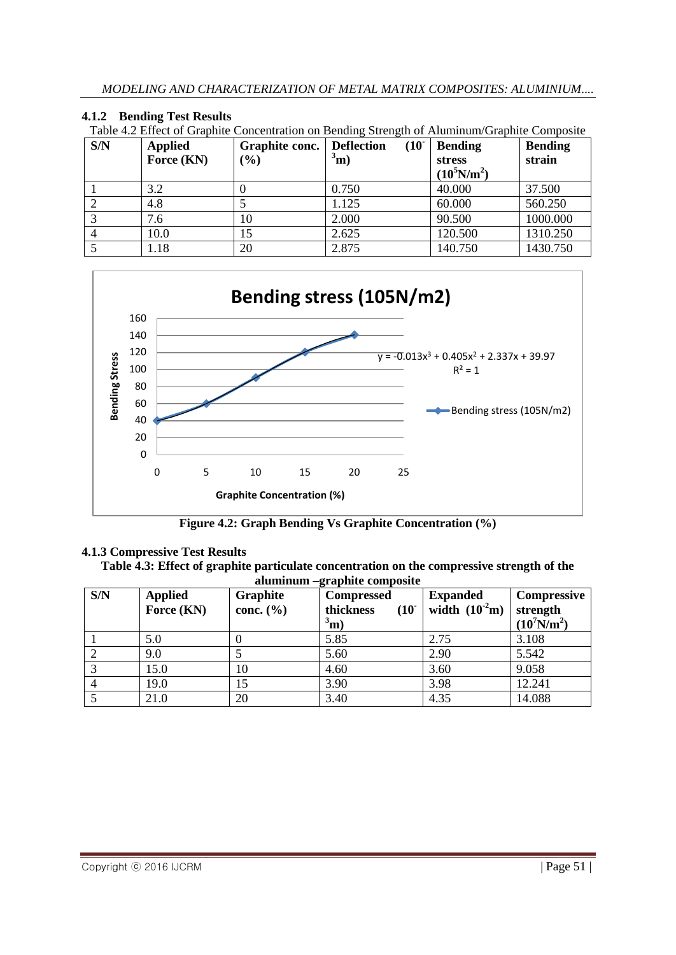## **4.1.2 Bending Test Results**

| Table 4.2 Effect of Graphite Concentration on Bending Strength of Aluminum/Graphite Composite |                |                           |  |  |                |                |  |
|-----------------------------------------------------------------------------------------------|----------------|---------------------------|--|--|----------------|----------------|--|
| S/N                                                                                           | <b>Applied</b> | Graphite conc. Deflection |  |  | $(10)$ Bending | <b>Bending</b> |  |

| <b>DIN</b> | Applieu<br>Force (KN) | Graphite conc.<br>$(\%)$ | Denection<br>U J<br>$\sigma^3$ m) | Dending<br><b>stress</b><br>$(10^5 N/m^2)$ | Dending<br>strain |
|------------|-----------------------|--------------------------|-----------------------------------|--------------------------------------------|-------------------|
|            | 3.2                   |                          | 0.750                             | 40.000                                     | 37.500            |
|            | 4.8                   |                          | 1.125                             | 60.000                                     | 560.250           |
|            | 7.6                   | 10                       | 2.000                             | 90.500                                     | 1000.000          |
|            | 10.0                  |                          | 2.625                             | 120.500                                    | 1310.250          |
|            | 1.18                  | 20                       | 2.875                             | 140.750                                    | 1430.750          |



**Figure 4.2: Graph Bending Vs Graphite Concentration (%)**

## **4.1.3 Compressive Test Results**

**Table 4.3: Effect of graphite particulate concentration on the compressive strength of the aluminum –graphite composite**

| S/N | <b>Applied</b> | Graphite      | <b>Compressed</b> | <b>Expanded</b>    | <b>Compressive</b> |  |  |  |  |  |
|-----|----------------|---------------|-------------------|--------------------|--------------------|--|--|--|--|--|
|     | Force (KN)     | conc. $(\% )$ | (10)<br>thickness | width $(10^{-2}m)$ | strength           |  |  |  |  |  |
|     |                |               |                   |                    |                    |  |  |  |  |  |
|     |                |               | $^3$ m)           |                    | $(10^7 N/m^2)$     |  |  |  |  |  |
|     | 5.0            |               | 5.85              | 2.75               | 3.108              |  |  |  |  |  |
|     |                |               |                   |                    |                    |  |  |  |  |  |
|     | 9.0            |               | 5.60              | 2.90               | 5.542              |  |  |  |  |  |
|     | 15.0           | 10            | 4.60              | 3.60               | 9.058              |  |  |  |  |  |
|     |                |               |                   |                    |                    |  |  |  |  |  |
|     | 19.0           |               | 3.90              | 3.98               | 12.241             |  |  |  |  |  |
|     | 21.0           | 20            | 3.40              | 4.35               | 14.088             |  |  |  |  |  |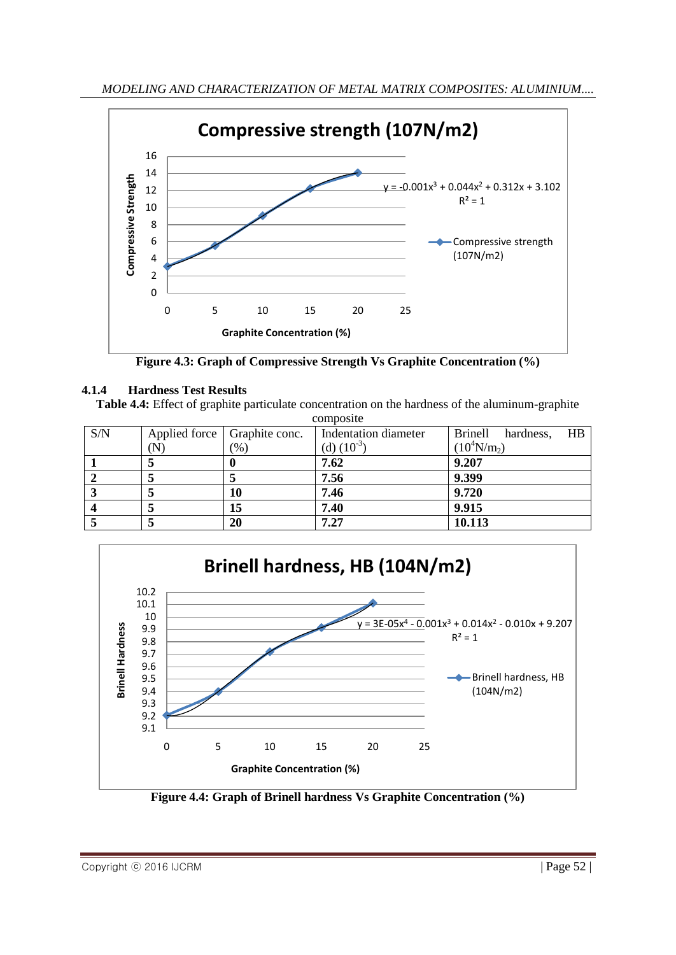

**Figure 4.3: Graph of Compressive Strength Vs Graphite Concentration (%)**

# **4.1.4 Hardness Test Results**

**Table 4.4:** Effect of graphite particulate concentration on the hardness of the aluminum-graphite

| composite |                                |                                     |                 |                |  |  |  |  |
|-----------|--------------------------------|-------------------------------------|-----------------|----------------|--|--|--|--|
| S/N       | Applied force   Graphite conc. | $H\text{B}$<br>Brinell<br>hardness, |                 |                |  |  |  |  |
|           | $({\rm N})$                    | (% )                                | (d) $(10^{-3})$ | $(10^4 N/m_2)$ |  |  |  |  |
|           |                                |                                     | 7.62            | 9.207          |  |  |  |  |
|           |                                |                                     | 7.56            | 9.399          |  |  |  |  |
|           |                                | 10                                  | 7.46            | 9.720          |  |  |  |  |
|           |                                | 15                                  | 7.40            | 9.915          |  |  |  |  |
|           |                                | 20                                  | 7.27            | 10.113         |  |  |  |  |



**Figure 4.4: Graph of Brinell hardness Vs Graphite Concentration (%)**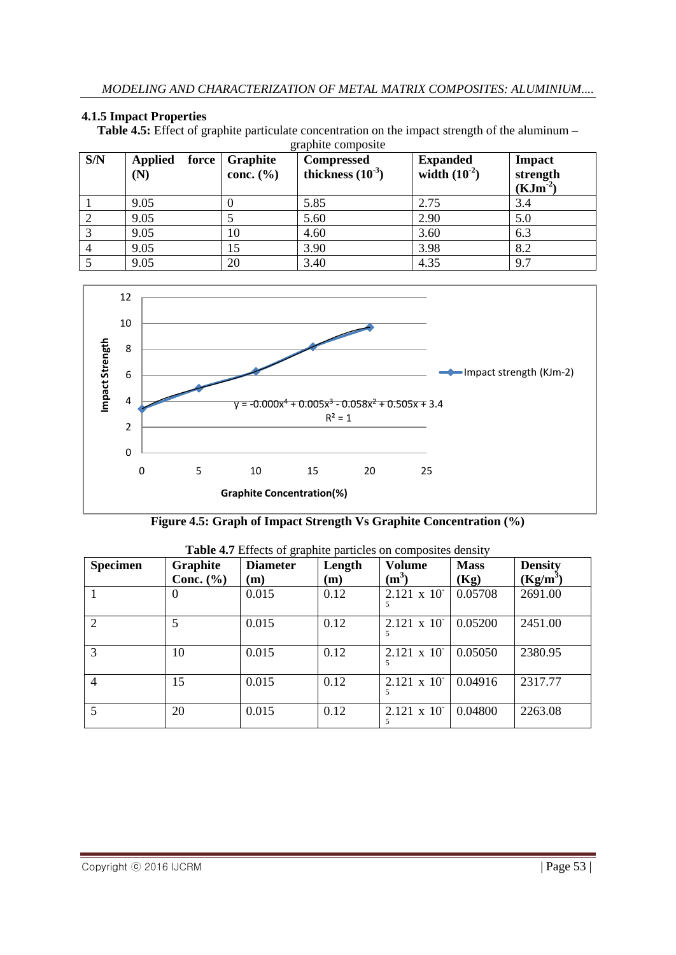#### **4.1.5 Impact Properties**

**Table 4.5:** Effect of graphite particulate concentration on the impact strength of the aluminum –

| S/N | <b>Applied</b><br>force<br>(N) | <b>Graphite</b><br>conc. $(\% )$ | <b>Compressed</b><br>thickness $(10^{-3})$ | <b>Expanded</b><br>width $(10^{-2})$ | <b>Impact</b><br>strength<br>$(KJm^{-2})$ |
|-----|--------------------------------|----------------------------------|--------------------------------------------|--------------------------------------|-------------------------------------------|
|     | 9.05                           |                                  | 5.85                                       | 2.75                                 | 3.4                                       |
|     | 9.05                           |                                  | 5.60                                       | 2.90                                 | 5.0                                       |
|     | 9.05                           | 10                               | 4.60                                       | 3.60                                 | 6.3                                       |
|     | 9.05                           | 15                               | 3.90                                       | 3.98                                 | 8.2                                       |
|     | 9.05                           | 20                               | 3.40                                       | 4.35                                 | 9.7                                       |



|  |  |  |  |  | Figure 4.5: Graph of Impact Strength Vs Graphite Concentration (%) |  |
|--|--|--|--|--|--------------------------------------------------------------------|--|
|--|--|--|--|--|--------------------------------------------------------------------|--|

| <b>Specimen</b> | <b>Graphite</b> | <b>Diameter</b> | Length | <b>Volume</b>          | <b>Mass</b> | <b>Density</b> |
|-----------------|-----------------|-----------------|--------|------------------------|-------------|----------------|
|                 | Conc. $(\% )$   | (m)             | (m)    | $(m^3)$                | (Kg)        | $(Kg/m^3)$     |
|                 | $\theta$        | 0.015           | 0.12   | $2.121 \times 10^{-7}$ | 0.05708     | 2691.00        |
| 2               | 5               | 0.015           | 0.12   | $2.121 \times 10^{-7}$ | 0.05200     | 2451.00        |
| 3               | 10              | 0.015           | 0.12   | $2.121 \times 10^{-7}$ | 0.05050     | 2380.95        |
| $\overline{4}$  | 15              | 0.015           | 0.12   | $2.121 \times 10^{-7}$ | 0.04916     | 2317.77        |
| 5               | 20              | 0.015           | 0.12   | $2.121 \times 10^{-7}$ | 0.04800     | 2263.08        |

|  | Table 4.7 Effects of graphite particles on composites density |  |  |
|--|---------------------------------------------------------------|--|--|
|  |                                                               |  |  |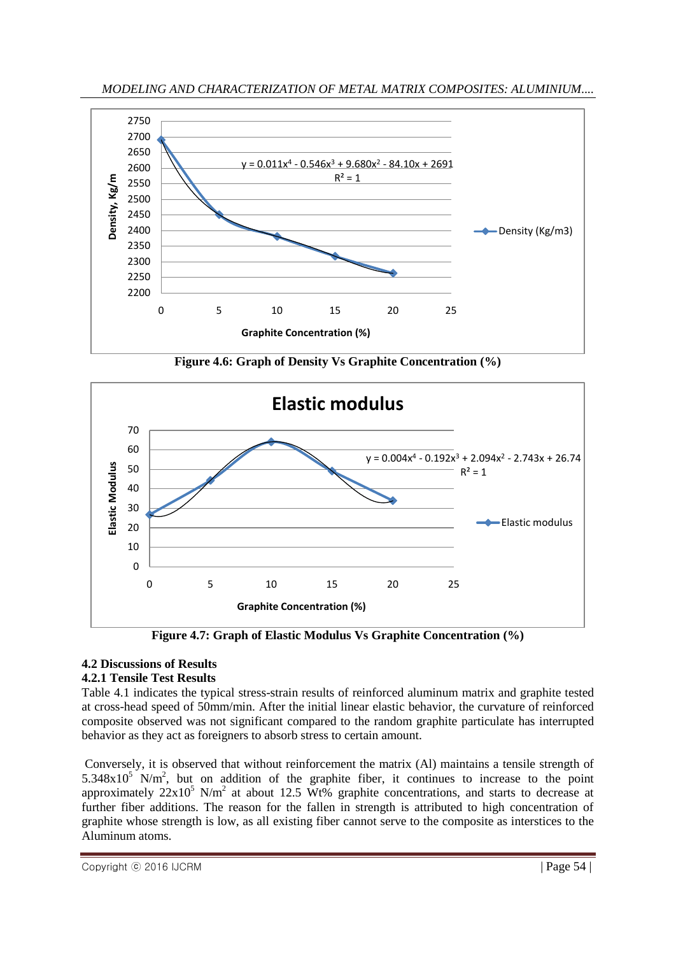*MODELING AND CHARACTERIZATION OF METAL MATRIX COMPOSITES: ALUMINIUM....*



**Figure 4.6: Graph of Density Vs Graphite Concentration (%)**



**Figure 4.7: Graph of Elastic Modulus Vs Graphite Concentration (%)**

#### **4.2 Discussions of Results 4.2.1 Tensile Test Results**

Table 4.1 indicates the typical stress-strain results of reinforced aluminum matrix and graphite tested at cross-head speed of 50mm/min. After the initial linear elastic behavior, the curvature of reinforced composite observed was not significant compared to the random graphite particulate has interrupted behavior as they act as foreigners to absorb stress to certain amount.

Conversely, it is observed that without reinforcement the matrix (Al) maintains a tensile strength of  $5.348 \times 10^5$  N/m<sup>2</sup>, but on addition of the graphite fiber, it continues to increase to the point approximately  $22x10^5$  N/m<sup>2</sup> at about 12.5 Wt% graphite concentrations, and starts to decrease at further fiber additions. The reason for the fallen in strength is attributed to high concentration of graphite whose strength is low, as all existing fiber cannot serve to the composite as interstices to the Aluminum atoms.

Copyright © 2016 IJCRM | Page 54 |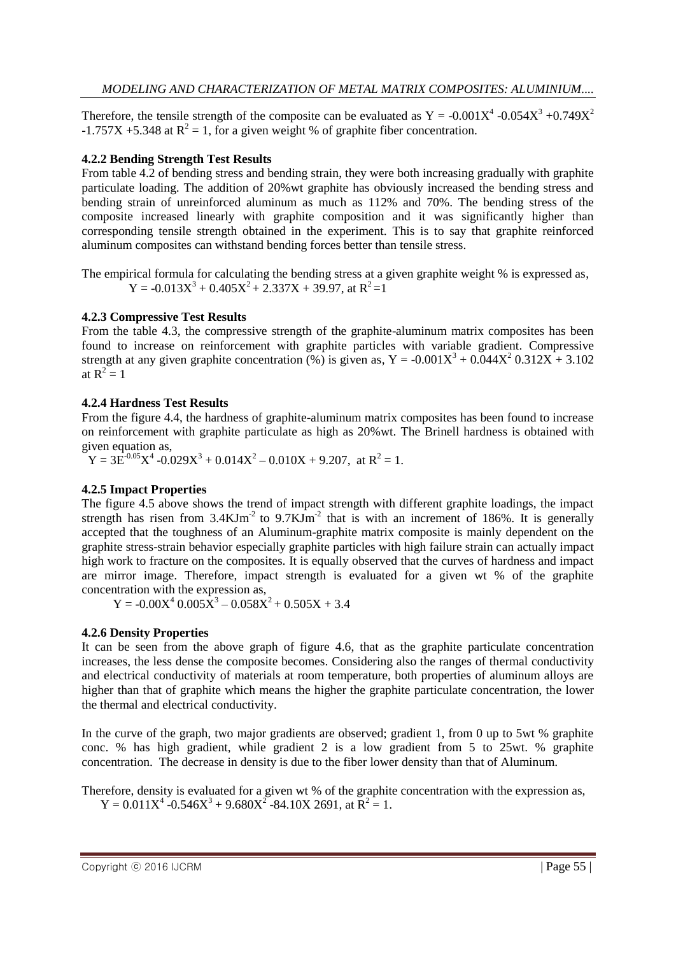Therefore, the tensile strength of the composite can be evaluated as  $Y = -0.001X^4 - 0.054X^3 + 0.749X^2$  $-1.757X + 5.348$  at  $R^2 = 1$ , for a given weight % of graphite fiber concentration.

#### **4.2.2 Bending Strength Test Results**

From table 4.2 of bending stress and bending strain, they were both increasing gradually with graphite particulate loading. The addition of 20%wt graphite has obviously increased the bending stress and bending strain of unreinforced aluminum as much as 112% and 70%. The bending stress of the composite increased linearly with graphite composition and it was significantly higher than corresponding tensile strength obtained in the experiment. This is to say that graphite reinforced aluminum composites can withstand bending forces better than tensile stress.

The empirical formula for calculating the bending stress at a given graphite weight % is expressed as,  $Y = -0.013X^{3} + 0.405X^{2} + 2.337X + 39.97$ , at  $R^{2} = 1$ 

#### **4.2.3 Compressive Test Results**

From the table 4.3, the compressive strength of the graphite-aluminum matrix composites has been found to increase on reinforcement with graphite particles with variable gradient. Compressive strength at any given graphite concentration (%) is given as,  $Y = -0.001X^3 + 0.044X^2 0.312X + 3.102$ at  $R^2 = 1$ 

#### **4.2.4 Hardness Test Results**

From the figure 4.4, the hardness of graphite-aluminum matrix composites has been found to increase on reinforcement with graphite particulate as high as 20%wt. The Brinell hardness is obtained with given equation as,

 $Y = 3E^{-0.05}X^4 - 0.029X^3 + 0.014X^2 - 0.010X + 9.207$ , at  $R^2 = 1$ .

### **4.2.5 Impact Properties**

The figure 4.5 above shows the trend of impact strength with different graphite loadings, the impact strength has risen from  $3.4 \text{KJm}^2$  to  $9.7 \text{KJm}^2$  that is with an increment of 186%. It is generally accepted that the toughness of an Aluminum-graphite matrix composite is mainly dependent on the graphite stress-strain behavior especially graphite particles with high failure strain can actually impact high work to fracture on the composites. It is equally observed that the curves of hardness and impact are mirror image. Therefore, impact strength is evaluated for a given wt % of the graphite concentration with the expression as,

 $Y = -0.00X^4 \cdot 0.005X^3 - 0.058X^2 + 0.505X + 3.4$ 

### **4.2.6 Density Properties**

It can be seen from the above graph of figure 4.6, that as the graphite particulate concentration increases, the less dense the composite becomes. Considering also the ranges of thermal conductivity and electrical conductivity of materials at room temperature, both properties of aluminum alloys are higher than that of graphite which means the higher the graphite particulate concentration, the lower the thermal and electrical conductivity.

In the curve of the graph, two major gradients are observed; gradient 1, from 0 up to 5wt % graphite conc. % has high gradient, while gradient 2 is a low gradient from 5 to 25wt. % graphite concentration. The decrease in density is due to the fiber lower density than that of Aluminum.

Therefore, density is evaluated for a given wt % of the graphite concentration with the expression as,  $Y = 0.011X^4 - 0.546X^3 + 9.680X^2 - 84.10X2691$ , at  $R^2 = 1$ .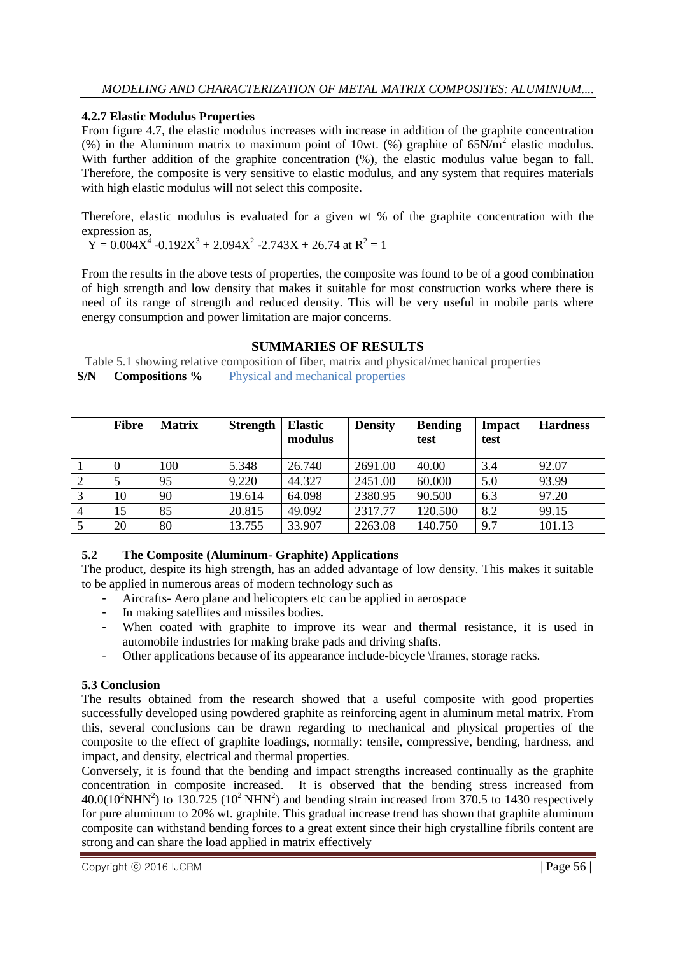## **4.2.7 Elastic Modulus Properties**

From figure 4.7, the elastic modulus increases with increase in addition of the graphite concentration (%) in the Aluminum matrix to maximum point of 10wt. (%) graphite of  $65N/m^2$  elastic modulus. With further addition of the graphite concentration  $(\%)$ , the elastic modulus value began to fall. Therefore, the composite is very sensitive to elastic modulus, and any system that requires materials with high elastic modulus will not select this composite.

Therefore, elastic modulus is evaluated for a given wt % of the graphite concentration with the expression as,

 $\hat{Y} = 0.004X^4 - 0.192X^3 + 2.094X^2 - 2.743X + 26.74$  at  $R^2 = 1$ 

From the results in the above tests of properties, the composite was found to be of a good combination of high strength and low density that makes it suitable for most construction works where there is need of its range of strength and reduced density. This will be very useful in mobile parts where energy consumption and power limitation are major concerns.

## **SUMMARIES OF RESULTS**

Table 5.1 showing relative composition of fiber, matrix and physical/mechanical properties

| S/N            | Compositions % |               |                 | Physical and mechanical properties |                |                        |                       |                 |
|----------------|----------------|---------------|-----------------|------------------------------------|----------------|------------------------|-----------------------|-----------------|
|                | <b>Fibre</b>   | <b>Matrix</b> | <b>Strength</b> | <b>Elastic</b><br>modulus          | <b>Density</b> | <b>Bending</b><br>test | <b>Impact</b><br>test | <b>Hardness</b> |
|                | $\theta$       | 100           | 5.348           | 26.740                             | 2691.00        | 40.00                  | 3.4                   | 92.07           |
| $\overline{2}$ | 5              | 95            | 9.220           | 44.327                             | 2451.00        | 60.000                 | 5.0                   | 93.99           |
| 3              | 10             | 90            | 19.614          | 64.098                             | 2380.95        | 90.500                 | 6.3                   | 97.20           |
| $\overline{4}$ | 15             | 85            | 20.815          | 49.092                             | 2317.77        | 120.500                | 8.2                   | 99.15           |
| 5              | 20             | 80            | 13.755          | 33.907                             | 2263.08        | 140.750                | 9.7                   | 101.13          |

# **5.2 The Composite (Aluminum- Graphite) Applications**

The product, despite its high strength, has an added advantage of low density. This makes it suitable to be applied in numerous areas of modern technology such as

- Aircrafts- Aero plane and helicopters etc can be applied in aerospace
- In making satellites and missiles bodies.
- When coated with graphite to improve its wear and thermal resistance, it is used in automobile industries for making brake pads and driving shafts.
- Other applications because of its appearance include-bicycle \frames, storage racks.

# **5.3 Conclusion**

The results obtained from the research showed that a useful composite with good properties successfully developed using powdered graphite as reinforcing agent in aluminum metal matrix. From this, several conclusions can be drawn regarding to mechanical and physical properties of the composite to the effect of graphite loadings, normally: tensile, compressive, bending, hardness, and impact, and density, electrical and thermal properties.

Conversely, it is found that the bending and impact strengths increased continually as the graphite concentration in composite increased. It is observed that the bending stress increased from  $40.0(10^2\text{NHN}^2)$  to  $130.725(10^2\text{NHN}^2)$  and bending strain increased from 370.5 to 1430 respectively for pure aluminum to 20% wt. graphite. This gradual increase trend has shown that graphite aluminum composite can withstand bending forces to a great extent since their high crystalline fibrils content are strong and can share the load applied in matrix effectively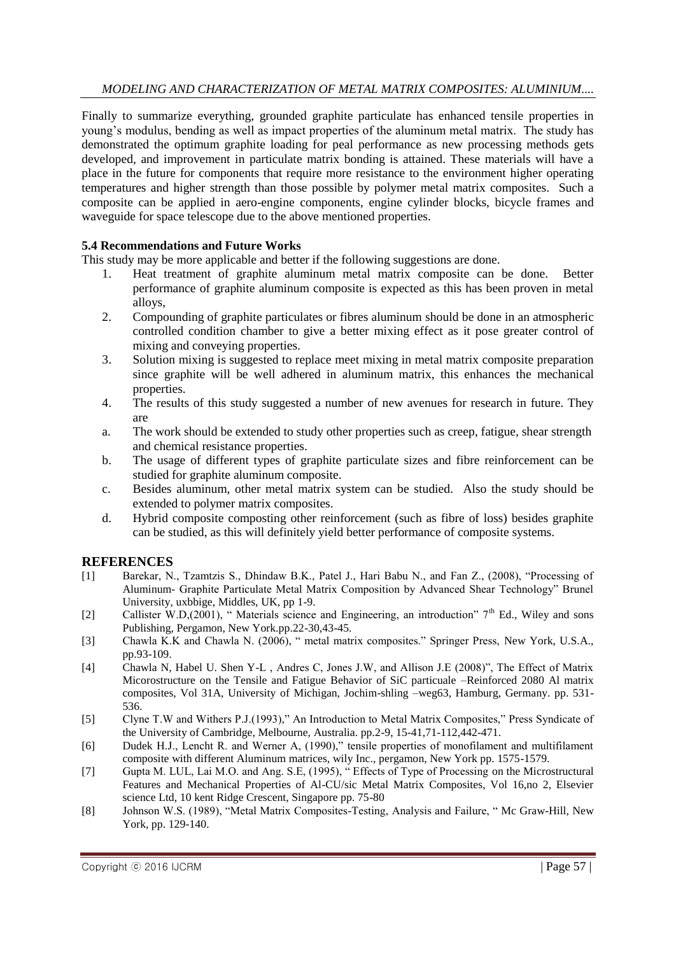### *MODELING AND CHARACTERIZATION OF METAL MATRIX COMPOSITES: ALUMINIUM....*

Finally to summarize everything, grounded graphite particulate has enhanced tensile properties in young's modulus, bending as well as impact properties of the aluminum metal matrix. The study has demonstrated the optimum graphite loading for peal performance as new processing methods gets developed, and improvement in particulate matrix bonding is attained. These materials will have a place in the future for components that require more resistance to the environment higher operating temperatures and higher strength than those possible by polymer metal matrix composites. Such a composite can be applied in aero-engine components, engine cylinder blocks, bicycle frames and waveguide for space telescope due to the above mentioned properties.

#### **5.4 Recommendations and Future Works**

This study may be more applicable and better if the following suggestions are done.

- 1. Heat treatment of graphite aluminum metal matrix composite can be done. Better performance of graphite aluminum composite is expected as this has been proven in metal alloys,
- 2. Compounding of graphite particulates or fibres aluminum should be done in an atmospheric controlled condition chamber to give a better mixing effect as it pose greater control of mixing and conveying properties.
- 3. Solution mixing is suggested to replace meet mixing in metal matrix composite preparation since graphite will be well adhered in aluminum matrix, this enhances the mechanical properties.
- 4. The results of this study suggested a number of new avenues for research in future. They are
- a. The work should be extended to study other properties such as creep, fatigue, shear strength and chemical resistance properties.
- b. The usage of different types of graphite particulate sizes and fibre reinforcement can be studied for graphite aluminum composite.
- c. Besides aluminum, other metal matrix system can be studied. Also the study should be extended to polymer matrix composites.
- d. Hybrid composite composting other reinforcement (such as fibre of loss) besides graphite can be studied, as this will definitely yield better performance of composite systems.

### **REFERENCES**

- [1] Barekar, N., Tzamtzis S., Dhindaw B.K., Patel J., Hari Babu N., and Fan Z., (2008), "Processing of Aluminum- Graphite Particulate Metal Matrix Composition by Advanced Shear Technology" Brunel University, uxbbige, Middles, UK, pp 1-9.
- [2] Callister W.D.(2001), "Materials science and Engineering, an introduction"  $7<sup>th</sup>$  Ed., Wiley and sons Publishing, Pergamon, New York.pp.22-30,43-45.
- [3] Chawla K.K and Chawla N. (2006), " metal matrix composites." Springer Press, New York, U.S.A., pp.93-109.
- [4] Chawla N, Habel U. Shen Y-L , Andres C, Jones J.W, and Allison J.E (2008)", The Effect of Matrix Micorostructure on the Tensile and Fatigue Behavior of SiC particuale –Reinforced 2080 Al matrix composites, Vol 31A, University of Michigan, Jochim-shling –weg63, Hamburg, Germany. pp. 531- 536.
- [5] Clyne T.W and Withers P.J.(1993)," An Introduction to Metal Matrix Composites," Press Syndicate of the University of Cambridge, Melbourne, Australia. pp.2-9, 15-41,71-112,442-471.
- [6] Dudek H.J., Lencht R. and Werner A, (1990)," tensile properties of monofilament and multifilament composite with different Aluminum matrices, wily Inc., pergamon, New York pp. 1575-1579.
- [7] Gupta M. LUL, Lai M.O. and Ang. S.E, (1995), " Effects of Type of Processing on the Microstructural Features and Mechanical Properties of Al-CU/sic Metal Matrix Composites, Vol 16,no 2, Elsevier science Ltd, 10 kent Ridge Crescent, Singapore pp. 75-80
- [8] Johnson W.S. (1989), "Metal Matrix Composites-Testing, Analysis and Failure, " Mc Graw-Hill, New York, pp. 129-140.